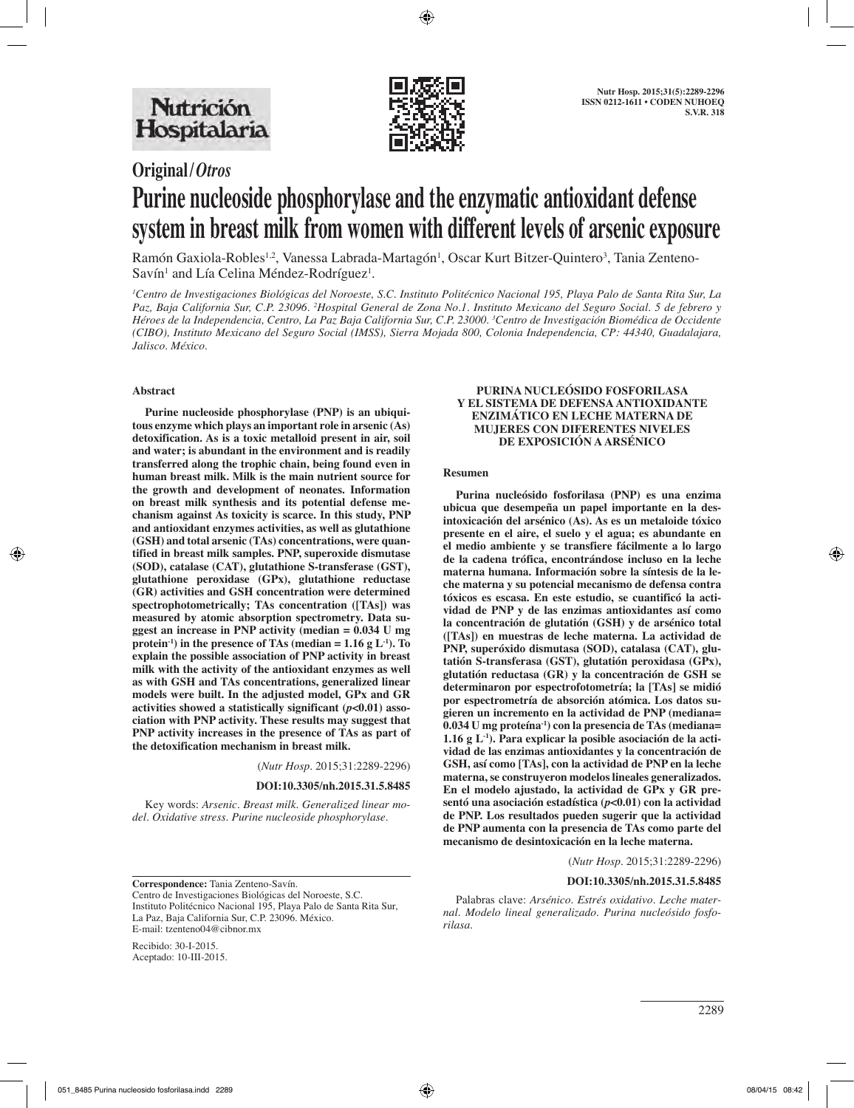

# **Original/***Otros* **Purine nucleoside phosphorylase and the enzymatic antioxidant defense system in breast milk from women with different levels of arsenic exposure**

Ramón Gaxiola-Robles<sup>1,2</sup>, Vanessa Labrada-Martagón<sup>1</sup>, Oscar Kurt Bitzer-Quintero<sup>3</sup>, Tania Zenteno-Savín<sup>1</sup> and Lía Celina Méndez-Rodríguez<sup>1</sup>.

*1 Centro de Investigaciones Biológicas del Noroeste, S.C. Instituto Politécnico Nacional 195, Playa Palo de Santa Rita Sur, La Paz, Baja California Sur, C.P. 23096. 2 Hospital General de Zona No.1. Instituto Mexicano del Seguro Social. 5 de febrero y Héroes de la Independencia, Centro, La Paz Baja California Sur, C.P. 23000. 3 Centro de Investigación Biomédica de Occidente (CIBO), Instituto Mexicano del Seguro Social (IMSS), Sierra Mojada 800, Colonia Independencia, CP: 44340, Guadalajara, Jalisco. México.*

#### **Abstract**

**Purine nucleoside phosphorylase (PNP) is an ubiquitous enzyme which plays an important role in arsenic (As) detoxification. As is a toxic metalloid present in air, soil and water; is abundant in the environment and is readily transferred along the trophic chain, being found even in human breast milk. Milk is the main nutrient source for the growth and development of neonates. Information on breast milk synthesis and its potential defense mechanism against As toxicity is scarce. In this study, PNP and antioxidant enzymes activities, as well as glutathione (GSH) and total arsenic (TAs) concentrations, were quantified in breast milk samples. PNP, superoxide dismutase (SOD), catalase (CAT), glutathione S-transferase (GST), glutathione peroxidase (GPx), glutathione reductase (GR) activities and GSH concentration were determined spectrophotometrically; TAs concentration ([TAs]) was measured by atomic absorption spectrometry. Data suggest an increase in PNP activity (median = 0.034 U mg protein**<sup>-1</sup>) in the presence of TAs (median  $= 1.16 \text{ g L}^{-1}$ ). To **explain the possible association of PNP activity in breast milk with the activity of the antioxidant enzymes as well as with GSH and TAs concentrations, generalized linear models were built. In the adjusted model, GPx and GR activities showed a statistically significant (***p<***0.01) association with PNP activity. These results may suggest that PNP activity increases in the presence of TAs as part of the detoxification mechanism in breast milk.**

(*Nutr Hosp.* 2015;31:2289-2296)

**DOI:10.3305/nh.2015.31.5.8485**

Key words: *Arsenic. Breast milk. Generalized linear model. Oxidative stress. Purine nucleoside phosphorylase.*

**Correspondence:** Tania Zenteno-Savín. Centro de Investigaciones Biológicas del Noroeste, S.C. Instituto Politécnico Nacional 195, Playa Palo de Santa Rita Sur, La Paz, Baja California Sur, C.P. 23096. México. E-mail: tzenteno04@cibnor.mx

Recibido: 30-I-2015. Aceptado: 10-III-2015.

#### **PURINA NUCLEÓSIDO FOSFORILASA Y EL SISTEMA DE DEFENSA ANTIOXIDANTE ENZIMÁTICO EN LECHE MATERNA DE MUJERES CON DIFERENTES NIVELES DE EXPOSICIÓN A ARSÉNICO**

#### **Resumen**

**Purina nucleósido fosforilasa (PNP) es una enzima ubicua que desempeña un papel importante en la desintoxicación del arsénico (As). As es un metaloide tóxico presente en el aire, el suelo y el agua; es abundante en el medio ambiente y se transfiere fácilmente a lo largo de la cadena trófica, encontrándose incluso en la leche materna humana. Información sobre la síntesis de la leche materna y su potencial mecanismo de defensa contra tóxicos es escasa. En este estudio, se cuantificó la actividad de PNP y de las enzimas antioxidantes así como la concentración de glutatión (GSH) y de arsénico total ([TAs]) en muestras de leche materna. La actividad de PNP, superóxido dismutasa (SOD), catalasa (CAT), glutatión S-transferasa (GST), glutatión peroxidasa (GPx), glutatión reductasa (GR) y la concentración de GSH se determinaron por espectrofotometría; la [TAs] se midió por espectrometría de absorción atómica. Los datos sugieren un incremento en la actividad de PNP (mediana= 0.034 U mg proteína-1) con la presencia de TAs (mediana= 1.16 g L-1). Para explicar la posible asociación de la actividad de las enzimas antioxidantes y la concentración de GSH, así como [TAs], con la actividad de PNP en la leche materna, se construyeron modelos lineales generalizados. En el modelo ajustado, la actividad de GPx y GR presentó una asociación estadística (***p<***0.01) con la actividad de PNP. Los resultados pueden sugerir que la actividad de PNP aumenta con la presencia de TAs como parte del mecanismo de desintoxicación en la leche materna.**

(*Nutr Hosp.* 2015;31:2289-2296)

#### **DOI:10.3305/nh.2015.31.5.8485**

Palabras clave: *Arsénico. Estrés oxidativo. Leche maternal. Modelo lineal generalizado. Purina nucleósido fosforilasa.*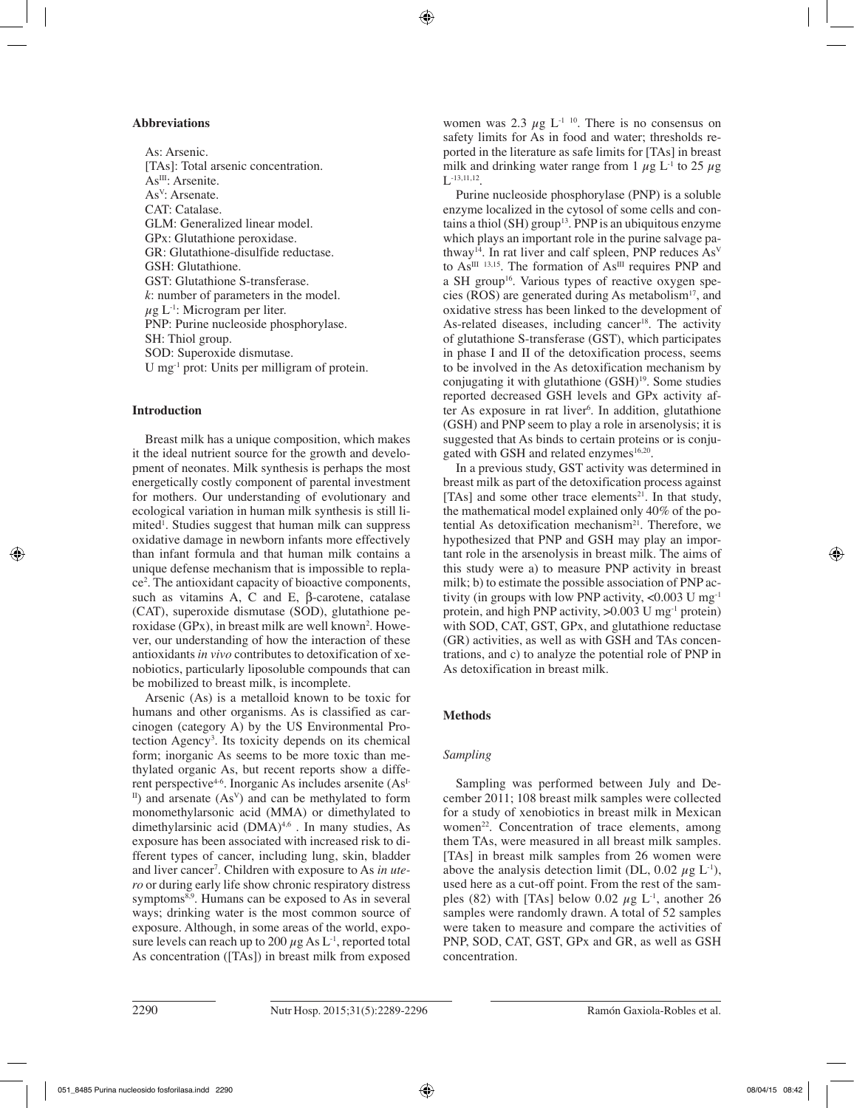#### **Abbreviations**

As: Arsenic. [TAs]: Total arsenic concentration. As<sup>III</sup>: Arsenite. AsV: Arsenate. CAT: Catalase. GLM: Generalized linear model. GPx: Glutathione peroxidase. GR: Glutathione-disulfide reductase. GSH: Glutathione. GST: Glutathione S-transferase. *k*: number of parameters in the model.  $\mu$ g L<sup>-1</sup>: Microgram per liter. PNP: Purine nucleoside phosphorylase. SH: Thiol group. SOD: Superoxide dismutase. U mg-1 prot: Units per milligram of protein.

## **Introduction**

Breast milk has a unique composition, which makes it the ideal nutrient source for the growth and development of neonates. Milk synthesis is perhaps the most energetically costly component of parental investment for mothers. Our understanding of evolutionary and ecological variation in human milk synthesis is still limited<sup>1</sup>. Studies suggest that human milk can suppress oxidative damage in newborn infants more effectively than infant formula and that human milk contains a unique defense mechanism that is impossible to replace2 . The antioxidant capacity of bioactive components, such as vitamins A, C and E, β-carotene, catalase (CAT), superoxide dismutase (SOD), glutathione peroxidase (GPx), in breast milk are well known<sup>2</sup>. However, our understanding of how the interaction of these antioxidants *in vivo* contributes to detoxification of xenobiotics, particularly liposoluble compounds that can be mobilized to breast milk, is incomplete.

Arsenic (As) is a metalloid known to be toxic for humans and other organisms. As is classified as carcinogen (category A) by the US Environmental Protection Agency3 . Its toxicity depends on its chemical form; inorganic As seems to be more toxic than methylated organic As, but recent reports show a different perspective<sup>4-6</sup>. Inorganic As includes arsenite  $(As<sup>I-</sup>)$  $\text{I}^{\text{II}}$ ) and arsenate (As<sup>V</sup>) and can be methylated to form monomethylarsonic acid (MMA) or dimethylated to dimethylarsinic acid (DMA)<sup>4,6</sup>. In many studies, As exposure has been associated with increased risk to different types of cancer, including lung, skin, bladder and liver cancer<sup>7</sup>. Children with exposure to As *in utero* or during early life show chronic respiratory distress symptoms<sup>8,9</sup>. Humans can be exposed to As in several ways; drinking water is the most common source of exposure. Although, in some areas of the world, exposure levels can reach up to 200  $\mu$ g As L<sup>-1</sup>, reported total As concentration ([TAs]) in breast milk from exposed

women was 2.3  $\mu$ g L<sup>-1 10</sup>. There is no consensus on safety limits for As in food and water; thresholds reported in the literature as safe limits for [TAs] in breast milk and drinking water range from 1  $\mu$ g L<sup>-1</sup> to 25  $\mu$ g  $L^{-13,11,12}$ .

Purine nucleoside phosphorylase (PNP) is a soluble enzyme localized in the cytosol of some cells and contains a thiol (SH) group<sup>13</sup>. PNP is an ubiquitous enzyme which plays an important role in the purine salvage pathway<sup>14</sup>. In rat liver and calf spleen, PNP reduces  $As<sup>V</sup>$ to  $As^{III}$  13,15. The formation of  $As^{III}$  requires PNP and a SH group<sup>16</sup>. Various types of reactive oxygen species (ROS) are generated during As metabolism<sup>17</sup>, and oxidative stress has been linked to the development of As-related diseases, including cancer<sup>18</sup>. The activity of glutathione S-transferase (GST), which participates in phase I and II of the detoxification process, seems to be involved in the As detoxification mechanism by conjugating it with glutathione  $(GSH)<sup>19</sup>$ . Some studies reported decreased GSH levels and GPx activity after As exposure in rat liver<sup>6</sup>. In addition, glutathione (GSH) and PNP seem to play a role in arsenolysis; it is suggested that As binds to certain proteins or is conjugated with GSH and related enzymes<sup>16,20</sup>.

In a previous study, GST activity was determined in breast milk as part of the detoxification process against [TAs] and some other trace elements<sup>21</sup>. In that study, the mathematical model explained only 40% of the potential As detoxification mechanism<sup>21</sup>. Therefore, we hypothesized that PNP and GSH may play an important role in the arsenolysis in breast milk. The aims of this study were a) to measure PNP activity in breast milk; b) to estimate the possible association of PNP activity (in groups with low PNP activity,  $\langle 0.003 \text{ U} \text{ mg}^{-1}$ ) protein, and high PNP activity,  $>0.003$  U mg<sup>-1</sup> protein) with SOD, CAT, GST, GPx, and glutathione reductase (GR) activities, as well as with GSH and TAs concentrations, and c) to analyze the potential role of PNP in As detoxification in breast milk.

## **Methods**

## *Sampling*

Sampling was performed between July and December 2011; 108 breast milk samples were collected for a study of xenobiotics in breast milk in Mexican women<sup>22</sup>. Concentration of trace elements, among them TAs, were measured in all breast milk samples. [TAs] in breast milk samples from 26 women were above the analysis detection limit (DL, 0.02  $\mu$ g L<sup>-1</sup>), used here as a cut-off point. From the rest of the samples (82) with [TAs] below 0.02  $\mu$ g L<sup>-1</sup>, another 26 samples were randomly drawn. A total of 52 samples were taken to measure and compare the activities of PNP, SOD, CAT, GST, GPx and GR, as well as GSH concentration.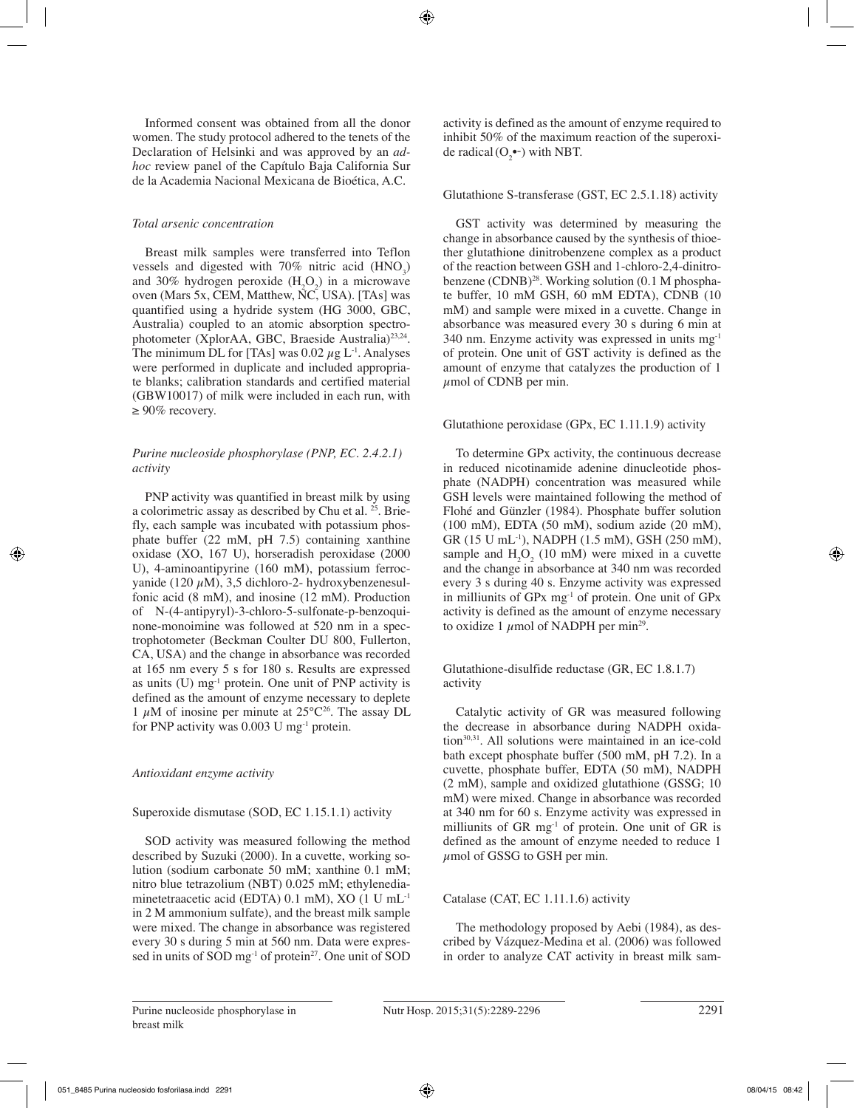Informed consent was obtained from all the donor women. The study protocol adhered to the tenets of the Declaration of Helsinki and was approved by an *adhoc* review panel of the Capítulo Baja California Sur de la Academia Nacional Mexicana de Bioética, A.C.

## *Total arsenic concentration*

Breast milk samples were transferred into Teflon vessels and digested with  $70\%$  nitric acid (HNO<sub>3</sub>) and 30% hydrogen peroxide  $(H_2O_2)$  in a microwave oven (Mars 5x, CEM, Matthew, NC, USA). [TAs] was quantified using a hydride system (HG 3000, GBC, Australia) coupled to an atomic absorption spectrophotometer (XplorAA, GBC, Braeside Australia)<sup>23,24</sup>. The minimum DL for [TAs] was  $0.02 \mu g L^{-1}$ . Analyses were performed in duplicate and included appropriate blanks; calibration standards and certified material (GBW10017) of milk were included in each run, with  $\geq 90\%$  recovery.

## *Purine nucleoside phosphorylase (PNP, EC. 2.4.2.1) activity*

PNP activity was quantified in breast milk by using a colorimetric assay as described by Chu et al. 25. Briefly, each sample was incubated with potassium phosphate buffer (22 mM, pH 7.5) containing xanthine oxidase (XO, 167 U), horseradish peroxidase (2000 U), 4-aminoantipyrine (160 mM), potassium ferrocvanide (120  $\mu$ M), 3,5 dichloro-2- hydroxybenzenesulfonic acid (8 mM), and inosine (12 mM). Production of N-(4-antipyryl)-3-chloro-5-sulfonate-p-benzoquinone-monoimine was followed at 520 nm in a spectrophotometer (Beckman Coulter DU 800, Fullerton, CA, USA) and the change in absorbance was recorded at 165 nm every 5 s for 180 s. Results are expressed as units  $(U)$  mg<sup>-1</sup> protein. One unit of PNP activity is defined as the amount of enzyme necessary to deplete 1  $\mu$ M of inosine per minute at 25 $^{\circ}$ C<sup>26</sup>. The assay DL for PNP activity was 0.003 U mg-1 protein.

## *Antioxidant enzyme activity*

## Superoxide dismutase (SOD, EC 1.15.1.1) activity

SOD activity was measured following the method described by Suzuki (2000). In a cuvette, working solution (sodium carbonate 50 mM; xanthine 0.1 mM; nitro blue tetrazolium (NBT) 0.025 mM; ethylenediaminetetraacetic acid (EDTA) 0.1 mM), XO (1 U mL-1 in 2 M ammonium sulfate), and the breast milk sample were mixed. The change in absorbance was registered every 30 s during 5 min at 560 nm. Data were expressed in units of SOD mg<sup>-1</sup> of protein<sup>27</sup>. One unit of SOD activity is defined as the amount of enzyme required to inhibit 50% of the maximum reaction of the superoxide radical  $(O_2^{\bullet-})$  with NBT.

## Glutathione S-transferase (GST, EC 2.5.1.18) activity

GST activity was determined by measuring the change in absorbance caused by the synthesis of thioether glutathione dinitrobenzene complex as a product of the reaction between GSH and 1-chloro-2,4-dinitrobenzene (CDNB)<sup>28</sup>. Working solution (0.1 M phosphate buffer, 10 mM GSH, 60 mM EDTA), CDNB (10 mM) and sample were mixed in a cuvette. Change in absorbance was measured every 30 s during 6 min at 340 nm. Enzyme activity was expressed in units mg-1 of protein. One unit of GST activity is defined as the amount of enzyme that catalyzes the production of 1  $\mu$ mol of CDNB per min.

## Glutathione peroxidase (GPx, EC 1.11.1.9) activity

To determine GPx activity, the continuous decrease in reduced nicotinamide adenine dinucleotide phosphate (NADPH) concentration was measured while GSH levels were maintained following the method of Flohé and Günzler (1984). Phosphate buffer solution (100 mM), EDTA (50 mM), sodium azide (20 mM), GR (15 U mL-1), NADPH (1.5 mM), GSH (250 mM), sample and  $H_2O_2$  (10 mM) were mixed in a cuvette and the change in absorbance at 340 nm was recorded every 3 s during 40 s. Enzyme activity was expressed in milliunits of GPx mg-1 of protein. One unit of GPx activity is defined as the amount of enzyme necessary to oxidize 1  $\mu$ mol of NADPH per min<sup>29</sup>.

## Glutathione-disulfide reductase (GR, EC 1.8.1.7) activity

Catalytic activity of GR was measured following the decrease in absorbance during NADPH oxidation<sup>30,31</sup>. All solutions were maintained in an ice-cold bath except phosphate buffer (500 mM, pH 7.2). In a cuvette, phosphate buffer, EDTA (50 mM), NADPH (2 mM), sample and oxidized glutathione (GSSG; 10 mM) were mixed. Change in absorbance was recorded at 340 nm for 60 s. Enzyme activity was expressed in milliunits of GR mg<sup>-1</sup> of protein. One unit of GR is defined as the amount of enzyme needed to reduce 1  $\mu$ mol of GSSG to GSH per min.

## Catalase (CAT, EC 1.11.1.6) activity

The methodology proposed by Aebi (1984), as described by Vázquez-Medina et al. (2006) was followed in order to analyze CAT activity in breast milk sam-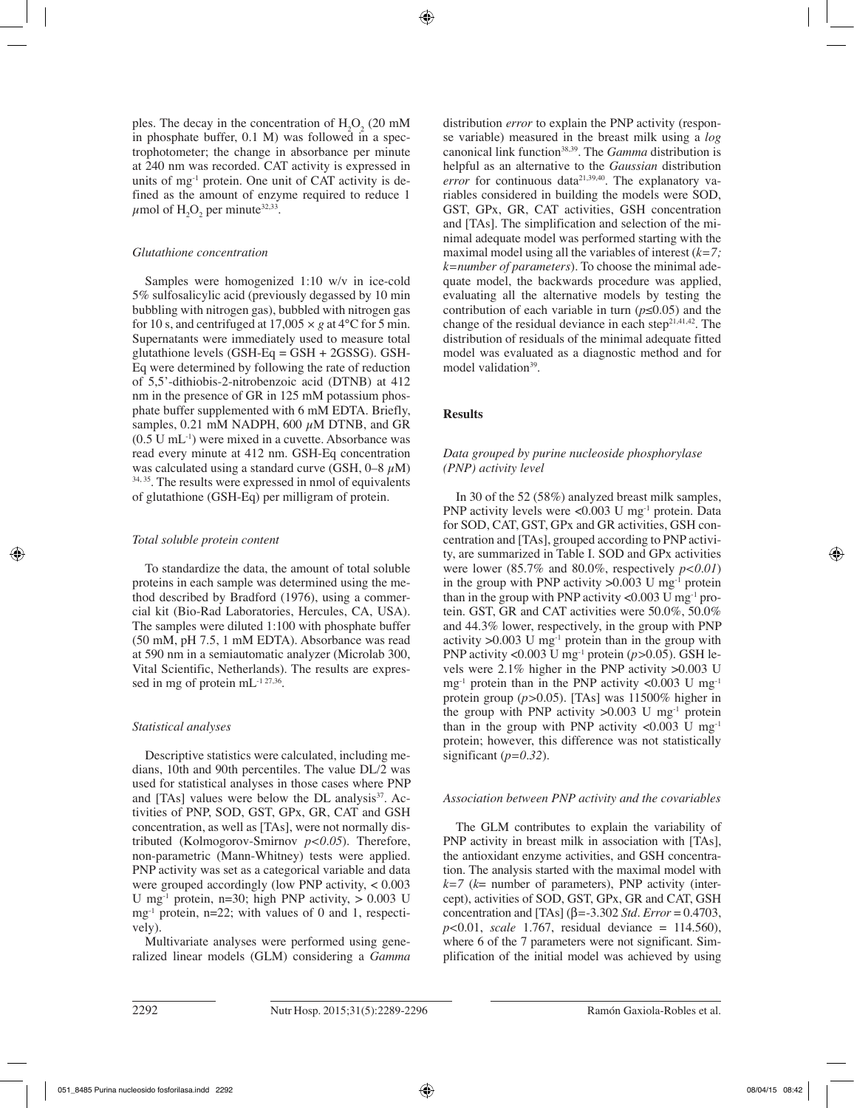ples. The decay in the concentration of  $H_2O_2$  (20 mM) in phosphate buffer, 0.1 M) was followed in a spectrophotometer; the change in absorbance per minute at 240 nm was recorded. CAT activity is expressed in units of mg-1 protein. One unit of CAT activity is defined as the amount of enzyme required to reduce 1  $\mu$ mol of  $H_2O_2$  per minute<sup>32,33</sup>.

## *Glutathione concentration*

Samples were homogenized 1:10 w/v in ice-cold 5% sulfosalicylic acid (previously degassed by 10 min bubbling with nitrogen gas), bubbled with nitrogen gas for 10 s, and centrifuged at  $17,005 \times g$  at  $4^{\circ}$ C for 5 min. Supernatants were immediately used to measure total glutathione levels (GSH-Eq = GSH + 2GSSG). GSH-Eq were determined by following the rate of reduction of 5,5'-dithiobis-2-nitrobenzoic acid (DTNB) at 412 nm in the presence of GR in 125 mM potassium phosphate buffer supplemented with 6 mM EDTA. Briefly, samples, 0.21 mM NADPH, 600  $\mu$ M DTNB, and GR  $(0.5 \text{ U } \text{mL}^{-1})$  were mixed in a cuvette. Absorbance was read every minute at 412 nm. GSH-Eq concentration was calculated using a standard curve (GSH,  $0-8 \mu M$ ) 34, 35. The results were expressed in nmol of equivalents of glutathione (GSH-Eq) per milligram of protein.

## *Total soluble protein content*

To standardize the data, the amount of total soluble proteins in each sample was determined using the method described by Bradford (1976), using a commercial kit (Bio-Rad Laboratories, Hercules, CA, USA). The samples were diluted 1:100 with phosphate buffer (50 mM, pH 7.5, 1 mM EDTA). Absorbance was read at 590 nm in a semiautomatic analyzer (Microlab 300, Vital Scientific, Netherlands). The results are expressed in mg of protein mL<sup>-1 27,36</sup>.

# *Statistical analyses*

Descriptive statistics were calculated, including medians, 10th and 90th percentiles. The value DL/2 was used for statistical analyses in those cases where PNP and [TAs] values were below the DL analysis $37$ . Activities of PNP, SOD, GST, GPx, GR, CAT and GSH concentration, as well as [TAs], were not normally distributed (Kolmogorov-Smirnov *p<0.05*). Therefore, non-parametric (Mann-Whitney) tests were applied. PNP activity was set as a categorical variable and data were grouped accordingly (low PNP activity, < 0.003 U mg<sup>-1</sup> protein, n=30; high PNP activity,  $> 0.003$  U  $mg^{-1}$  protein, n=22; with values of 0 and 1, respectively).

Multivariate analyses were performed using generalized linear models (GLM) considering a *Gamma* distribution *error* to explain the PNP activity (response variable) measured in the breast milk using a *log* canonical link function<sup>38,39</sup>. The *Gamma* distribution is helpful as an alternative to the *Gaussian* distribution *error* for continuous data<sup>21,39,40</sup>. The explanatory variables considered in building the models were SOD, GST, GPx, GR, CAT activities, GSH concentration and [TAs]. The simplification and selection of the minimal adequate model was performed starting with the maximal model using all the variables of interest (*k=7; k=number of parameters*). To choose the minimal adequate model, the backwards procedure was applied, evaluating all the alternative models by testing the contribution of each variable in turn (*p≤*0.05) and the change of the residual deviance in each step<sup>21,41,42</sup>. The distribution of residuals of the minimal adequate fitted model was evaluated as a diagnostic method and for model validation<sup>39</sup>.

# **Results**

# *Data grouped by purine nucleoside phosphorylase (PNP) activity level*

In 30 of the 52 (58%) analyzed breast milk samples, PNP activity levels were <0.003 U mg-1 protein. Data for SOD, CAT, GST, GPx and GR activities, GSH concentration and [TAs], grouped according to PNP activity, are summarized in Table I. SOD and GPx activities were lower (85.7% and 80.0%, respectively *p<0.01*) in the group with PNP activity  $>0.003$  U mg<sup>-1</sup> protein than in the group with PNP activity  $\langle 0.003 \text{ U mg}^{-1} \text{ pro-}$ tein. GST, GR and CAT activities were 50.0%, 50.0% and 44.3% lower, respectively, in the group with PNP activity  $>0.003$  U mg<sup>-1</sup> protein than in the group with PNP activity <0.003 U mg-1 protein (*p>*0.05). GSH levels were 2.1% higher in the PNP activity >0.003 U  $mg^{-1}$  protein than in the PNP activity <0.003 U mg<sup>-1</sup> protein group (*p>*0.05). [TAs] was 11500% higher in the group with PNP activity  $>0.003$  U mg<sup>-1</sup> protein than in the group with PNP activity <0.003  $\mathrm{U}$  mg<sup>-1</sup> protein; however, this difference was not statistically significant (*p=0.32*).

# *Association between PNP activity and the covariables*

The GLM contributes to explain the variability of PNP activity in breast milk in association with [TAs], the antioxidant enzyme activities, and GSH concentration. The analysis started with the maximal model with  $k=7$  ( $k=$  number of parameters), PNP activity (intercept), activities of SOD, GST, GPx, GR and CAT, GSH concentration and [TAs] (β*=*-3.302 *Std. Error* = 0.4703, *p<*0.01, *scale* 1.767, residual deviance = 114.560), where 6 of the 7 parameters were not significant. Simplification of the initial model was achieved by using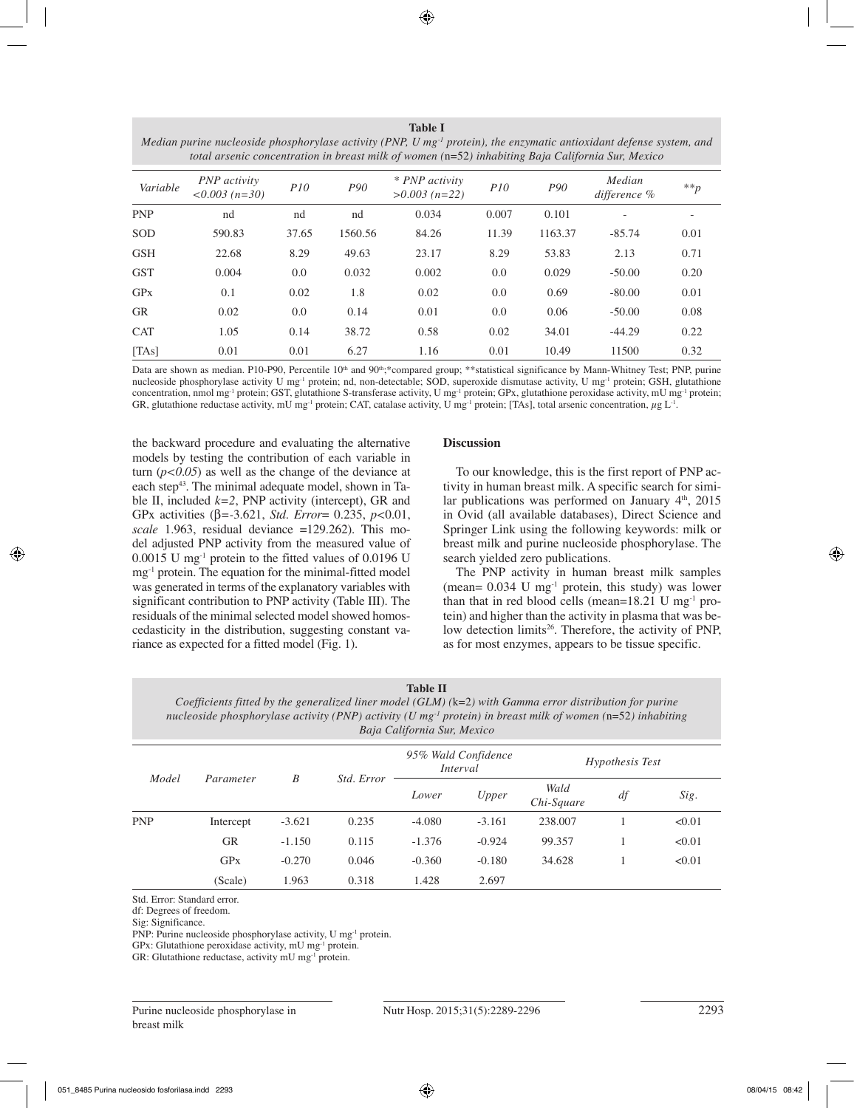**Table I** *Median purine nucleoside phosphorylase activity (PNP, U mg-1 protein), the enzymatic antioxidant defense system, and total arsenic concentration in breast milk of women (*n=52*) inhabiting Baja California Sur, Mexico*

| Variable   | <b>PNP</b> activity<br>$<0.003(n=30)$ | P10   | P <sub>90</sub> | * PNP activity<br>$>0.003$ (n=22) | P10   | P90     | Median<br>difference $%$ | $**p$ |
|------------|---------------------------------------|-------|-----------------|-----------------------------------|-------|---------|--------------------------|-------|
| <b>PNP</b> | nd                                    | nd    | nd              | 0.034                             | 0.007 | 0.101   | $\qquad \qquad -$        |       |
| <b>SOD</b> | 590.83                                | 37.65 | 1560.56         | 84.26                             | 11.39 | 1163.37 | $-85.74$                 | 0.01  |
| <b>GSH</b> | 22.68                                 | 8.29  | 49.63           | 23.17                             | 8.29  | 53.83   | 2.13                     | 0.71  |
| <b>GST</b> | 0.004                                 | 0.0   | 0.032           | 0.002                             | 0.0   | 0.029   | $-50.00$                 | 0.20  |
| GPX        | 0.1                                   | 0.02  | 1.8             | 0.02                              | 0.0   | 0.69    | $-80.00$                 | 0.01  |
| <b>GR</b>  | 0.02                                  | 0.0   | 0.14            | 0.01                              | 0.0   | 0.06    | $-50.00$                 | 0.08  |
| <b>CAT</b> | 1.05                                  | 0.14  | 38.72           | 0.58                              | 0.02  | 34.01   | $-44.29$                 | 0.22  |
| [TAs]      | 0.01                                  | 0.01  | 6.27            | 1.16                              | 0.01  | 10.49   | 11500                    | 0.32  |

Data are shown as median. P10-P90, Percentile 10<sup>th</sup> and 90<sup>th</sup>;\*compared group; \*\*statistical significance by Mann-Whitney Test; PNP, purine nucleoside phosphorylase activity U mg<sup>-1</sup> protein; nd, non-detectable; SOD, superoxide dismutase activity, U mg<sup>-1</sup> protein; GSH, glutathione concentration, nmol mg<sup>-1</sup> protein; GST, glutathione S-transferase activity, U mg<sup>-1</sup> protein; GPx, glutathione peroxidase activity, mU mg<sup>-1</sup> protein; GR, glutathione reductase activity, mU mg<sup>-1</sup> protein; CAT, catalase activity, U mg<sup>-1</sup> protein; [TAs], total arsenic concentration,  $\mu$ g L<sup>-1</sup>.

the backward procedure and evaluating the alternative models by testing the contribution of each variable in turn  $(p<0.05)$  as well as the change of the deviance at each step<sup>43</sup>. The minimal adequate model, shown in Table II, included  $k=2$ , PNP activity (intercept), GR and GPx activities (β*=-*3.621, *Std. Error*= 0.235, *p<*0.01, *scale* 1.963, residual deviance =129.262). This model adjusted PNP activity from the measured value of  $0.0015$  U mg<sup>-1</sup> protein to the fitted values of  $0.0196$  U mg-1 protein. The equation for the minimal-fitted model was generated in terms of the explanatory variables with significant contribution to PNP activity (Table III). The residuals of the minimal selected model showed homoscedasticity in the distribution, suggesting constant variance as expected for a fitted model (Fig. 1).

## **Discussion**

To our knowledge, this is the first report of PNP activity in human breast milk. A specific search for similar publications was performed on January  $4<sup>th</sup>$ , 2015 in Ovid (all available databases), Direct Science and Springer Link using the following keywords: milk or breast milk and purine nucleoside phosphorylase. The search yielded zero publications.

The PNP activity in human breast milk samples (mean=  $0.034$  U mg<sup>-1</sup> protein, this study) was lower than that in red blood cells (mean= $18.21$  U mg<sup>-1</sup> protein) and higher than the activity in plasma that was below detection limits<sup>26</sup>. Therefore, the activity of PNP, as for most enzymes, appears to be tissue specific.

| <b>Table II</b> |  |
|-----------------|--|
|-----------------|--|

*Coefficients fitted by the generalized liner model (GLM) (*k=2*) with Gamma error distribution for purine nucleoside phosphorylase activity (PNP) activity (U mg-1 protein) in breast milk of women (*n=52*) inhabiting Baja California Sur, Mexico*

| Model      | Parameter | B        | Std. Error | 95% Wald Confidence<br>Interval |          | <i>Hypothesis Test</i> |    |        |
|------------|-----------|----------|------------|---------------------------------|----------|------------------------|----|--------|
|            |           |          |            | Lower                           | Upper    | Wald<br>Chi-Square     | df | Sig.   |
| <b>PNP</b> | Intercept | $-3.621$ | 0.235      | $-4.080$                        | $-3.161$ | 238.007                |    | < 0.01 |
|            | <b>GR</b> | $-1.150$ | 0.115      | $-1.376$                        | $-0.924$ | 99.357                 |    | < 0.01 |
|            | GPX       | $-0.270$ | 0.046      | $-0.360$                        | $-0.180$ | 34.628                 |    | < 0.01 |
|            | (Scale)   | 1.963    | 0.318      | 1.428                           | 2.697    |                        |    |        |

Std. Error: Standard error.

df: Degrees of freedom.

Sig: Significance.

PNP: Purine nucleoside phosphorylase activity, U mg-1 protein.

GPx: Glutathione peroxidase activity, mU mg-1 protein.

GR: Glutathione reductase, activity mU mg-1 protein.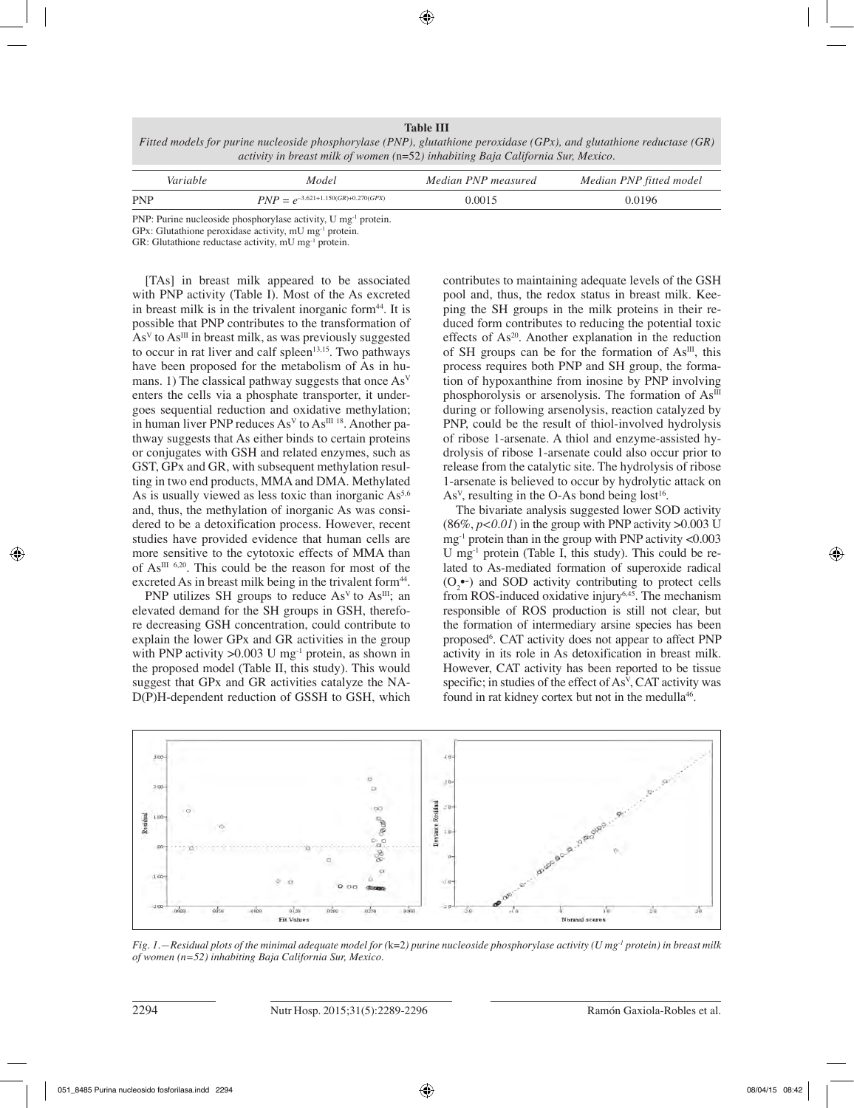**Table III**

*Fitted models for purine nucleoside phosphorylase (PNP), glutathione peroxidase (GPx), and glutathione reductase (GR) activity in breast milk of women (*n=52*) inhabiting Baja California Sur, Mexico.*

| Variable   | Model                                   | Median PNP measured | Median PNP fitted model |
|------------|-----------------------------------------|---------------------|-------------------------|
| <b>PNP</b> | $PNP = e^{-3.621+1.150(GR)+0.270(GPX)}$ | 0.0015              | 0.0196                  |

PNP: Purine nucleoside phosphorylase activity, U mg<sup>-1</sup> protein.

GPx: Glutathione peroxidase activity, mU mg-1 protein.

GR: Glutathione reductase activity, mU mg-1 protein.

[TAs] in breast milk appeared to be associated with PNP activity (Table I). Most of the As excreted in breast milk is in the trivalent inorganic form<sup>44</sup>. It is possible that PNP contributes to the transformation of  $As<sup>V</sup>$  to As<sup>III</sup> in breast milk, as was previously suggested to occur in rat liver and calf spleen $13,15$ . Two pathways have been proposed for the metabolism of As in humans. 1) The classical pathway suggests that once  $As<sup>V</sup>$ enters the cells via a phosphate transporter, it undergoes sequential reduction and oxidative methylation; in human liver PNP reduces  $As<sup>V</sup>$  to  $As<sup>III 18</sup>$ . Another pathway suggests that As either binds to certain proteins or conjugates with GSH and related enzymes, such as GST, GPx and GR, with subsequent methylation resulting in two end products, MMA and DMA. Methylated As is usually viewed as less toxic than inorganic  $As<sup>5,6</sup>$ and, thus, the methylation of inorganic As was considered to be a detoxification process. However, recent studies have provided evidence that human cells are more sensitive to the cytotoxic effects of MMA than of  $As^{III}$  <sup>6,20</sup>. This could be the reason for most of the excreted As in breast milk being in the trivalent form<sup>44</sup>.

PNP utilizes SH groups to reduce  $As<sup>V</sup>$  to  $As<sup>III</sup>$ ; an elevated demand for the SH groups in GSH, therefore decreasing GSH concentration, could contribute to explain the lower GPx and GR activities in the group with PNP activity  $>0.003$  U mg<sup>-1</sup> protein, as shown in the proposed model (Table II, this study). This would suggest that GPx and GR activities catalyze the NA-D(P)H-dependent reduction of GSSH to GSH, which contributes to maintaining adequate levels of the GSH pool and, thus, the redox status in breast milk. Keeping the SH groups in the milk proteins in their reduced form contributes to reducing the potential toxic effects of As<sup>20</sup>. Another explanation in the reduction of SH groups can be for the formation of  $As<sup>III</sup>$ , this process requires both PNP and SH group, the formation of hypoxanthine from inosine by PNP involving phosphorolysis or arsenolysis. The formation of  $As^{III}$ during or following arsenolysis, reaction catalyzed by PNP, could be the result of thiol-involved hydrolysis of ribose 1-arsenate. A thiol and enzyme-assisted hydrolysis of ribose 1-arsenate could also occur prior to release from the catalytic site. The hydrolysis of ribose 1-arsenate is believed to occur by hydrolytic attack on As<sup>v</sup>, resulting in the O-As bond being lost<sup>16</sup>.

The bivariate analysis suggested lower SOD activity  $(86\%, p<0.01)$  in the group with PNP activity  $>0.003$  U mg<sup>-1</sup> protein than in the group with PNP activity  $\langle 0.003$ U mg<sup>-1</sup> protein (Table I, this study). This could be related to As-mediated formation of superoxide radical  $(O_2^{\bullet-})$  and SOD activity contributing to protect cells from ROS-induced oxidative injury<sup>6,45</sup>. The mechanism responsible of ROS production is still not clear, but the formation of intermediary arsine species has been proposed<sup>6</sup>. CAT activity does not appear to affect PNP activity in its role in As detoxification in breast milk. However, CAT activity has been reported to be tissue specific; in studies of the effect of As<sup>V</sup>, CAT activity was found in rat kidney cortex but not in the medulla<sup>46</sup>.



*Fig. 1.—Residual plots of the minimal adequate model for (*k=2*) purine nucleoside phosphorylase activity (U mg-1 protein) in breast milk of women (n=52) inhabiting Baja California Sur, Mexico.*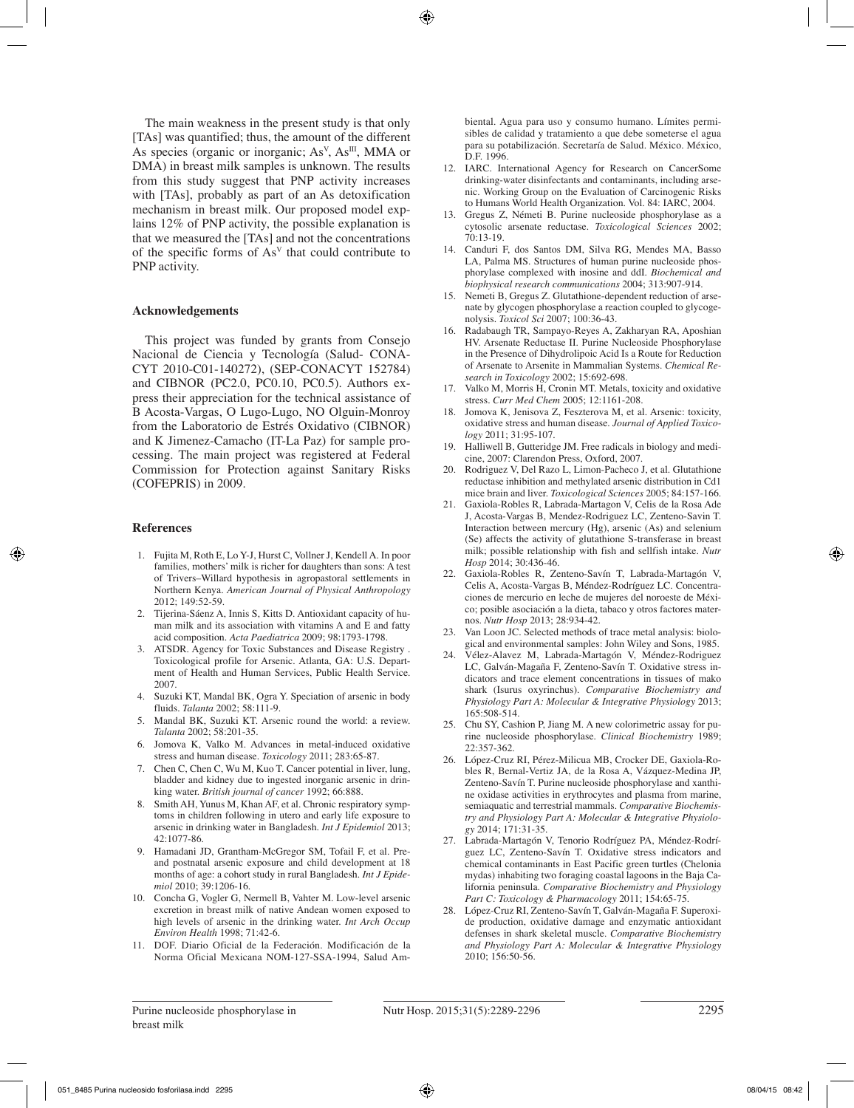The main weakness in the present study is that only [TAs] was quantified; thus, the amount of the different As species (organic or inorganic;  $As<sup>V</sup>$ ,  $As<sup>III</sup>$ , MMA or DMA) in breast milk samples is unknown. The results from this study suggest that PNP activity increases with [TAs], probably as part of an As detoxification mechanism in breast milk. Our proposed model explains 12% of PNP activity, the possible explanation is that we measured the [TAs] and not the concentrations of the specific forms of  $As<sup>V</sup>$  that could contribute to PNP activity.

#### **Acknowledgements**

This project was funded by grants from Consejo Nacional de Ciencia y Tecnología (Salud- CONA-CYT 2010-C01-140272), (SEP-CONACYT 152784) and CIBNOR (PC2.0, PC0.10, PC0.5). Authors express their appreciation for the technical assistance of B Acosta-Vargas, O Lugo-Lugo, NO Olguin-Monroy from the Laboratorio de Estrés Oxidativo (CIBNOR) and K Jimenez-Camacho (IT-La Paz) for sample processing. The main project was registered at Federal Commission for Protection against Sanitary Risks (COFEPRIS) in 2009.

#### **References**

- 1. Fujita M, Roth E, Lo Y-J, Hurst C, Vollner J, Kendell A. In poor families, mothers' milk is richer for daughters than sons: A test of Trivers–Willard hypothesis in agropastoral settlements in Northern Kenya. *American Journal of Physical Anthropology*  2012; 149:52-59.
- 2. Tijerina-Sáenz A, Innis S, Kitts D. Antioxidant capacity of human milk and its association with vitamins A and E and fatty acid composition. *Acta Paediatrica* 2009; 98:1793-1798.
- 3. ATSDR. Agency for Toxic Substances and Disease Registry . Toxicological profile for Arsenic. Atlanta, GA: U.S. Department of Health and Human Services, Public Health Service. 2007.
- 4. Suzuki KT, Mandal BK, Ogra Y. Speciation of arsenic in body fluids. *Talanta* 2002; 58:111-9.
- 5. Mandal BK, Suzuki KT. Arsenic round the world: a review. *Talanta* 2002; 58:201-35.
- 6. Jomova K, Valko M. Advances in metal-induced oxidative stress and human disease. *Toxicology* 2011; 283:65-87.
- 7. Chen C, Chen C, Wu M, Kuo T. Cancer potential in liver, lung, bladder and kidney due to ingested inorganic arsenic in drinking water. *British journal of cancer* 1992; 66:888.
- 8. Smith AH, Yunus M, Khan AF, et al. Chronic respiratory symptoms in children following in utero and early life exposure to arsenic in drinking water in Bangladesh. *Int J Epidemiol* 2013; 42:1077-86.
- 9. Hamadani JD, Grantham-McGregor SM, Tofail F, et al. Preand postnatal arsenic exposure and child development at 18 months of age: a cohort study in rural Bangladesh. *Int J Epidemiol* 2010; 39:1206-16.
- 10. Concha G, Vogler G, Nermell B, Vahter M. Low-level arsenic excretion in breast milk of native Andean women exposed to high levels of arsenic in the drinking water. *Int Arch Occup Environ Health* 1998; 71:42-6.
- 11. DOF. Diario Oficial de la Federación. Modificación de la Norma Oficial Mexicana NOM-127-SSA-1994, Salud Am-

biental. Agua para uso y consumo humano. Límites permisibles de calidad y tratamiento a que debe someterse el agua para su potabilización. Secretaría de Salud. México. México,  $DE$  1996.

- 12. IARC. International Agency for Research on CancerSome drinking-water disinfectants and contaminants, including arsenic. Working Group on the Evaluation of Carcinogenic Risks to Humans World Health Organization. Vol. 84: IARC, 2004.
- 13. Gregus Z, Németi B. Purine nucleoside phosphorylase as a cytosolic arsenate reductase. *Toxicological Sciences* 2002; 70:13-19.
- 14. Canduri F, dos Santos DM, Silva RG, Mendes MA, Basso LA, Palma MS. Structures of human purine nucleoside phosphorylase complexed with inosine and ddI. *Biochemical and biophysical research communications* 2004; 313:907-914.
- 15. Nemeti B, Gregus Z. Glutathione-dependent reduction of arsenate by glycogen phosphorylase a reaction coupled to glycogenolysis. *Toxicol Sci* 2007; 100:36-43.
- 16. Radabaugh TR, Sampayo-Reyes A, Zakharyan RA, Aposhian HV. Arsenate Reductase II. Purine Nucleoside Phosphorylase in the Presence of Dihydrolipoic Acid Is a Route for Reduction of Arsenate to Arsenite in Mammalian Systems. *Chemical Research in Toxicology* 2002; 15:692-698.
- 17. Valko M, Morris H, Cronin MT. Metals, toxicity and oxidative stress. *Curr Med Chem* 2005; 12:1161-208.
- 18. Jomova K, Jenisova Z, Feszterova M, et al. Arsenic: toxicity, oxidative stress and human disease. *Journal of Applied Toxicology* 2011; 31:95-107.
- Halliwell B, Gutteridge JM. Free radicals in biology and medicine, 2007: Clarendon Press, Oxford, 2007.
- 20. Rodriguez V, Del Razo L, Limon-Pacheco J, et al. Glutathione reductase inhibition and methylated arsenic distribution in Cd1 mice brain and liver. *Toxicological Sciences* 2005; 84:157-166.
- 21. Gaxiola-Robles R, Labrada-Martagon V, Celis de la Rosa Ade J, Acosta-Vargas B, Mendez-Rodriguez LC, Zenteno-Savin T. Interaction between mercury (Hg), arsenic (As) and selenium (Se) affects the activity of glutathione S-transferase in breast milk; possible relationship with fish and sellfish intake. *Nutr Hosp* 2014; 30:436-46.
- 22. Gaxiola-Robles R, Zenteno-Savín T, Labrada-Martagón V, Celis A, Acosta-Vargas B, Méndez-Rodríguez LC. Concentraciones de mercurio en leche de mujeres del noroeste de México; posible asociación a la dieta, tabaco y otros factores maternos. *Nutr Hosp* 2013; 28:934-42.
- 23. Van Loon JC. Selected methods of trace metal analysis: biological and environmental samples: John Wiley and Sons, 1985.
- 24. Vélez-Alavez M, Labrada-Martagón V, Méndez-Rodriguez LC, Galván-Magaña F, Zenteno-Savín T. Oxidative stress indicators and trace element concentrations in tissues of mako shark (Isurus oxyrinchus). *Comparative Biochemistry and Physiology Part A: Molecular & Integrative Physiology* 2013; 165:508-514.
- 25. Chu SY, Cashion P, Jiang M. A new colorimetric assay for purine nucleoside phosphorylase. *Clinical Biochemistry* 1989; 22:357-362.
- 26. López-Cruz RI, Pérez-Milicua MB, Crocker DE, Gaxiola-Robles R, Bernal-Vertiz JA, de la Rosa A, Vázquez-Medina JP, Zenteno-Savín T. Purine nucleoside phosphorylase and xanthine oxidase activities in erythrocytes and plasma from marine, semiaquatic and terrestrial mammals. *Comparative Biochemistry and Physiology Part A: Molecular & Integrative Physiology* 2014; 171:31-35.
- 27. Labrada-Martagón V, Tenorio Rodríguez PA, Méndez-Rodríguez LC, Zenteno-Savín T. Oxidative stress indicators and chemical contaminants in East Pacific green turtles (Chelonia mydas) inhabiting two foraging coastal lagoons in the Baja California peninsula. *Comparative Biochemistry and Physiology Part C: Toxicology & Pharmacology* 2011; 154:65-75.
- 28. López-Cruz RI, Zenteno-Savín T, Galván-Magaña F. Superoxide production, oxidative damage and enzymatic antioxidant defenses in shark skeletal muscle. *Comparative Biochemistry and Physiology Part A: Molecular & Integrative Physiology*  2010; 156:50-56.